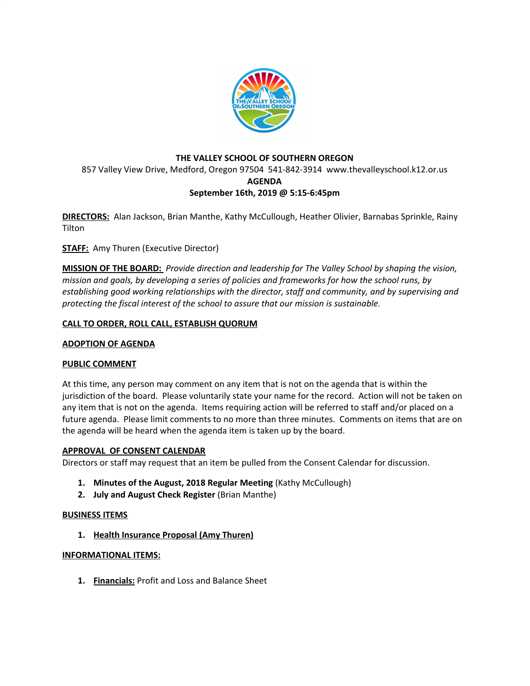

# **THE VALLEY SCHOOL OF SOUTHERN OREGON** 857 Valley View Drive, Medford, Oregon 97504 541-842-3914 www.thevalleyschool.k12.or.us **AGENDA September 16th, 2019 @ 5:15-6:45pm**

**DIRECTORS:** Alan Jackson, Brian Manthe, Kathy McCullough, Heather Olivier, Barnabas Sprinkle, Rainy **Tilton** 

**STAFF:** Amy Thuren (Executive Director)

**MISSION OF THE BOARD:** *Provide direction and leadership for The Valley School by shaping the vision, mission and goals, by developing a series of policies and frameworks for how the school runs, by establishing good working relationships with the director, staff and community, and by supervising and protecting the fiscal interest of the school to assure that our mission is sustainable.*

## **CALL TO ORDER, ROLL CALL, ESTABLISH QUORUM**

### **ADOPTION OF AGENDA**

## **PUBLIC COMMENT**

At this time, any person may comment on any item that is not on the agenda that is within the jurisdiction of the board. Please voluntarily state your name for the record. Action will not be taken on any item that is not on the agenda. Items requiring action will be referred to staff and/or placed on a future agenda. Please limit comments to no more than three minutes. Comments on items that are on the agenda will be heard when the agenda item is taken up by the board.

#### **APPROVAL OF CONSENT CALENDAR**

Directors or staff may request that an item be pulled from the Consent Calendar for discussion.

- **1. Minutes of the August, 2018 Regular Meeting** (Kathy McCullough)
- **2. July and August Check Register** (Brian Manthe)

#### **BUSINESS ITEMS**

**1. Health Insurance Proposal (Amy Thuren)**

#### **INFORMATIONAL ITEMS:**

**1. Financials:** Profit and Loss and Balance Sheet